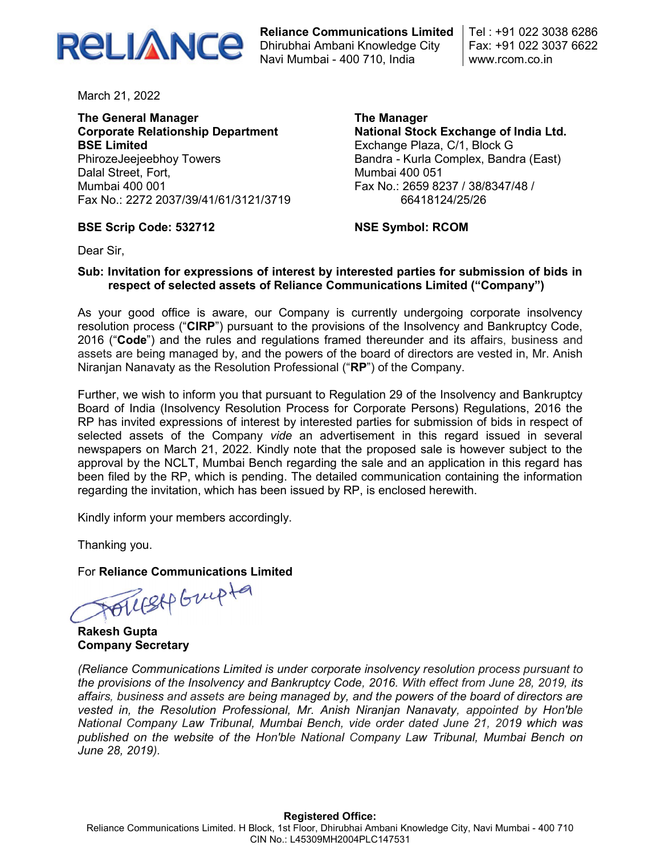

Reliance Communications Limited Dhirubhai Ambani Knowledge City Navi Mumbai - 400 710, India

Tel : +91 022 3038 6286 Fax: +91 022 3037 6622 www.rcom.co.in

March 21, 2022

The General Manager Corporate Relationship Department BSE Limited PhirozeJeejeebhoy Towers Dalal Street, Fort, Mumbai 400 001 Fax No.: 2272 2037/39/41/61/3121/3719

The Manager National Stock Exchange of India Ltd. Exchange Plaza, C/1, Block G Bandra - Kurla Complex, Bandra (East) Mumbai 400 051 Fax No.: 2659 8237 / 38/8347/48 / 66418124/25/26

# BSE Scrip Code: 532712

NSE Symbol: RCOM

Dear Sir,

## Sub: Invitation for expressions of interest by interested parties for submission of bids in respect of selected assets of Reliance Communications Limited ("Company")

As your good office is aware, our Company is currently undergoing corporate insolvency resolution process ("CIRP") pursuant to the provisions of the Insolvency and Bankruptcy Code, 2016 ("Code") and the rules and regulations framed thereunder and its affairs, business and assets are being managed by, and the powers of the board of directors are vested in, Mr. Anish Niranjan Nanavaty as the Resolution Professional ("RP") of the Company.

Further, we wish to inform you that pursuant to Regulation 29 of the Insolvency and Bankruptcy Board of India (Insolvency Resolution Process for Corporate Persons) Regulations, 2016 the RP has invited expressions of interest by interested parties for submission of bids in respect of selected assets of the Company vide an advertisement in this regard issued in several newspapers on March 21, 2022. Kindly note that the proposed sale is however subject to the approval by the NCLT, Mumbai Bench regarding the sale and an application in this regard has been filed by the RP, which is pending. The detailed communication containing the information regarding the invitation, which has been issued by RP, is enclosed herewith.

Kindly inform your members accordingly.

Thanking you.

For Reliance Communications Limited<br>All Swepter

Rakesh Gupta Company Secretary

(Reliance Communications Limited is under corporate insolvency resolution process pursuant to the provisions of the Insolvency and Bankruptcy Code, 2016. With effect from June 28, 2019, its affairs, business and assets are being managed by, and the powers of the board of directors are vested in, the Resolution Professional, Mr. Anish Niranjan Nanavaty, appointed by Hon'ble National Company Law Tribunal, Mumbai Bench, vide order dated June 21, 2019 which was published on the website of the Hon'ble National Company Law Tribunal, Mumbai Bench on June 28, 2019).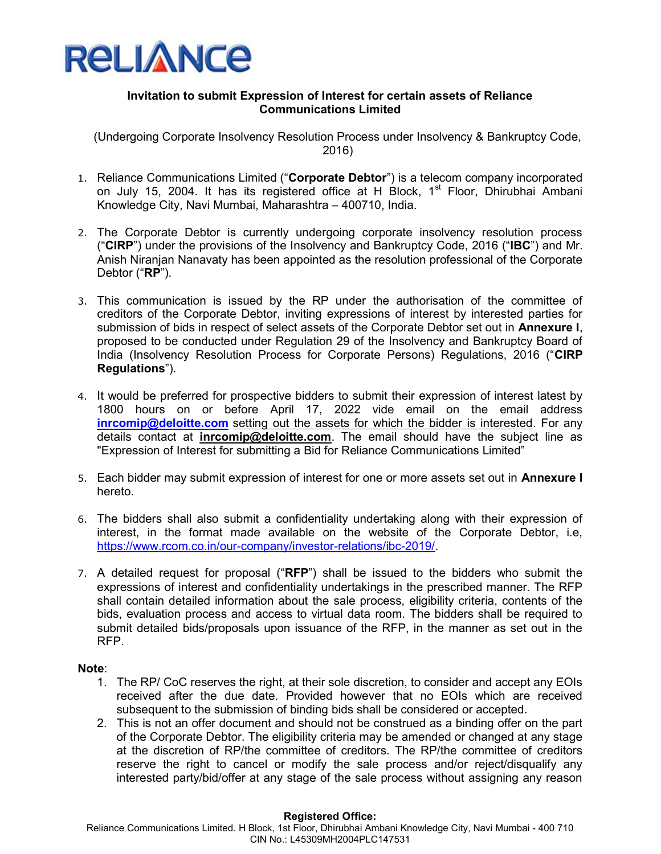

## Invitation to submit Expression of Interest for certain assets of Reliance Communications Limited

(Undergoing Corporate Insolvency Resolution Process under Insolvency & Bankruptcy Code, 2016)

- 1. Reliance Communications Limited ("Corporate Debtor") is a telecom company incorporated on July 15, 2004. It has its registered office at H Block, 1<sup>st</sup> Floor, Dhirubhai Ambani Knowledge City, Navi Mumbai, Maharashtra – 400710, India.
- 2. The Corporate Debtor is currently undergoing corporate insolvency resolution process ("CIRP") under the provisions of the Insolvency and Bankruptcy Code, 2016 ("IBC") and Mr. Anish Niranjan Nanavaty has been appointed as the resolution professional of the Corporate Debtor ("RP").
- 3. This communication is issued by the RP under the authorisation of the committee of creditors of the Corporate Debtor, inviting expressions of interest by interested parties for submission of bids in respect of select assets of the Corporate Debtor set out in Annexure I, proposed to be conducted under Regulation 29 of the Insolvency and Bankruptcy Board of India (Insolvency Resolution Process for Corporate Persons) Regulations, 2016 ("CIRP Regulations").
- 4. It would be preferred for prospective bidders to submit their expression of interest latest by 1800 hours on or before April 17, 2022 vide email on the email address inrcomip@deloitte.com setting out the assets for which the bidder is interested. For any details contact at *inrcomip@deloitte.com*. The email should have the subject line as "Expression of Interest for submitting a Bid for Reliance Communications Limited"
- 5. Each bidder may submit expression of interest for one or more assets set out in **Annexure I** hereto.
- 6. The bidders shall also submit a confidentiality undertaking along with their expression of interest, in the format made available on the website of the Corporate Debtor, i.e, https://www.rcom.co.in/our-company/investor-relations/ibc-2019/.
- 7. A detailed request for proposal ("RFP") shall be issued to the bidders who submit the expressions of interest and confidentiality undertakings in the prescribed manner. The RFP shall contain detailed information about the sale process, eligibility criteria, contents of the bids, evaluation process and access to virtual data room. The bidders shall be required to submit detailed bids/proposals upon issuance of the RFP, in the manner as set out in the RFP.

## Note:

- 1. The RP/ CoC reserves the right, at their sole discretion, to consider and accept any EOIs received after the due date. Provided however that no EOIs which are received subsequent to the submission of binding bids shall be considered or accepted.
- 2. This is not an offer document and should not be construed as a binding offer on the part of the Corporate Debtor. The eligibility criteria may be amended or changed at any stage at the discretion of RP/the committee of creditors. The RP/the committee of creditors reserve the right to cancel or modify the sale process and/or reject/disqualify any interested party/bid/offer at any stage of the sale process without assigning any reason

#### Registered Office:

Reliance Communications Limited. H Block, 1st Floor, Dhirubhai Ambani Knowledge City, Navi Mumbai - 400 710 CIN No.: L45309MH2004PLC147531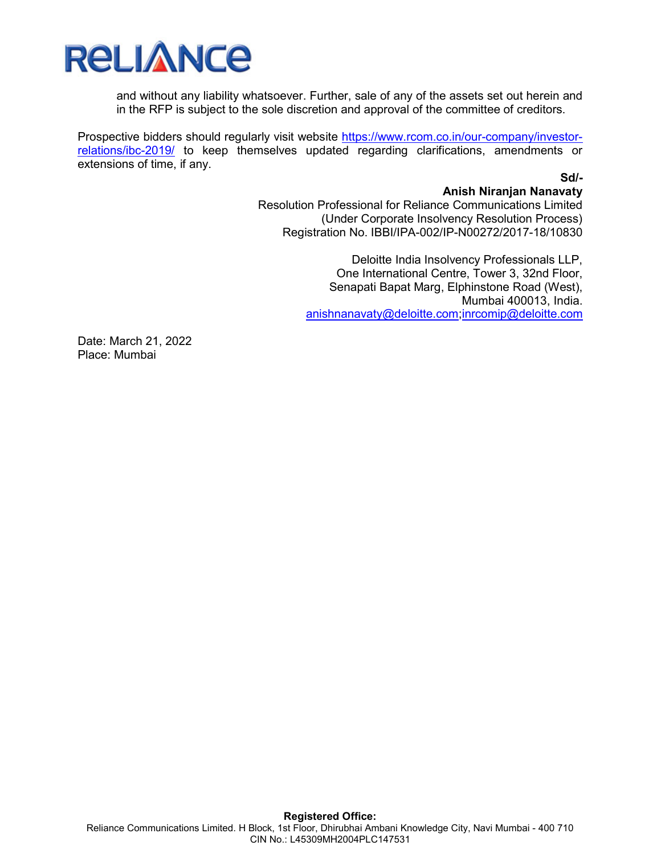

and without any liability whatsoever. Further, sale of any of the assets set out herein and in the RFP is subject to the sole discretion and approval of the committee of creditors.

Prospective bidders should regularly visit website https://www.rcom.co.in/our-company/investorrelations/ibc-2019/ to keep themselves updated regarding clarifications, amendments or extensions of time, if any.

# Sd/-

Anish Niranjan Nanavaty Resolution Professional for Reliance Communications Limited (Under Corporate Insolvency Resolution Process) Registration No. IBBI/IPA-002/IP-N00272/2017-18/10830

> Deloitte India Insolvency Professionals LLP, One International Centre, Tower 3, 32nd Floor, Senapati Bapat Marg, Elphinstone Road (West), Mumbai 400013, India. anishnanavaty@deloitte.com;inrcomip@deloitte.com

Date: March 21, 2022 Place: Mumbai